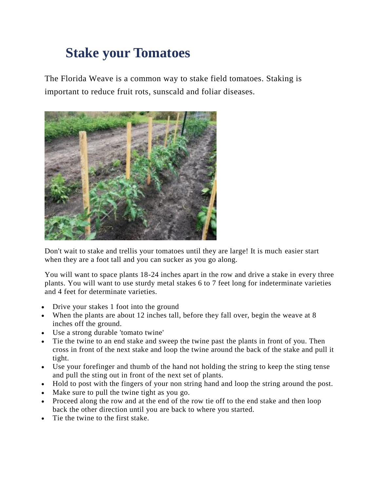## **Stake your Tomatoes**

The Florida Weave is a common way to stake field tomatoes. Staking is important to reduce fruit rots, sunscald and foliar diseases.



Don't wait to stake and trellis your tomatoes until they are large! It is much easier start when they are a foot tall and you can sucker as you go along.

You will want to space plants 18-24 inches apart in the row and drive a stake in every three plants. You will want to use sturdy metal stakes 6 to 7 feet long for indeterminate varieties and 4 feet for determinate varieties.

- Drive your stakes 1 foot into the ground
- When the plants are about 12 inches tall, before they fall over, begin the weave at 8 inches off the ground.
- Use a strong durable 'tomato twine'
- Tie the twine to an end stake and sweep the twine past the plants in front of you. Then cross in front of the next stake and loop the twine around the back of the stake and pull it tight.
- Use your forefinger and thumb of the hand not holding the string to keep the sting tense and pull the sting out in front of the next set of plants.
- Hold to post with the fingers of your non string hand and loop the string around the post.
- Make sure to pull the twine tight as you go.
- Proceed along the row and at the end of the row tie off to the end stake and then loop back the other direction until you are back to where you started.
- Tie the twine to the first stake.